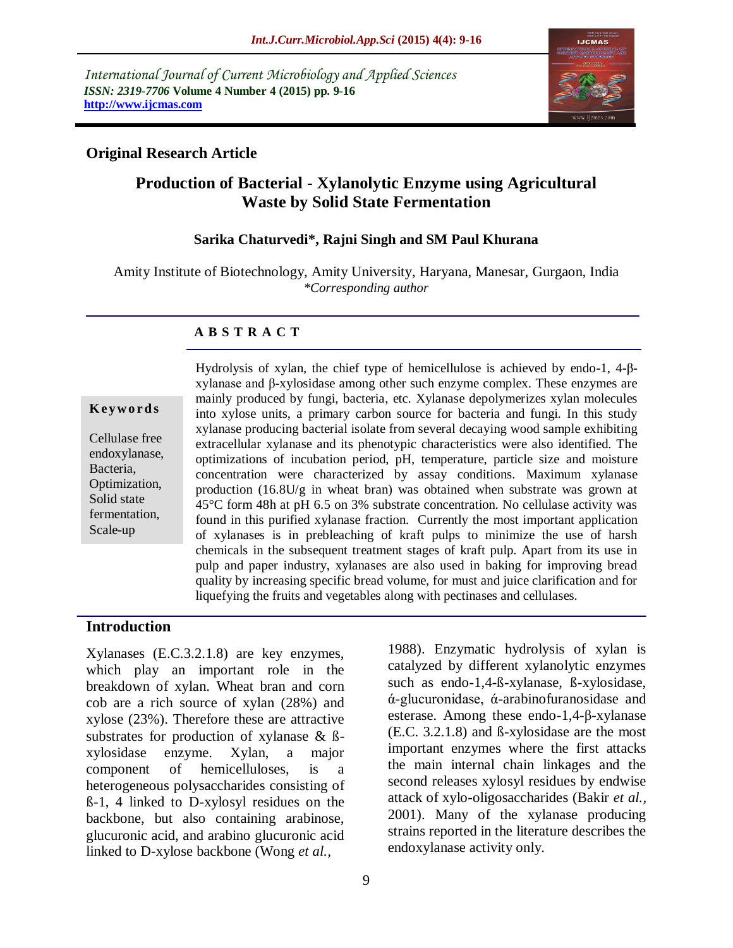*International Journal of Current Microbiology and Applied Sciences ISSN: 2319-7706* **Volume 4 Number 4 (2015) pp. 9-16 http://www.ijcmas.com** 



### **Original Research Article**

## **Production of Bacterial - Xylanolytic Enzyme using Agricultural Waste by Solid State Fermentation**

### **Sarika Chaturvedi\*, Rajni Singh and SM Paul Khurana**

Amity Institute of Biotechnology, Amity University, Haryana, Manesar, Gurgaon, India *\*Corresponding author*

### **A B S T R A C T**

#### **K ey w o rd s**

Cellulase free endoxylanase, Bacteria, Optimization, Solid state fermentation, Scale-up

Hydrolysis of xylan, the chief type of hemicellulose is achieved by endo-1, 4-βxylanase and β-xylosidase among other such enzyme complex. These enzymes are mainly produced by fungi, bacteria, etc. Xylanase depolymerizes xylan molecules into xylose units, a primary carbon source for bacteria and fungi. In this study xylanase producing bacterial isolate from several decaying wood sample exhibiting extracellular xylanase and its phenotypic characteristics were also identified. The optimizations of incubation period, pH, temperature, particle size and moisture concentration were characterized by assay conditions. Maximum xylanase production (16.8U/g in wheat bran) was obtained when substrate was grown at 45°C form 48h at pH 6.5 on 3% substrate concentration. No cellulase activity was found in this purified xylanase fraction. Currently the most important application of xylanases is in prebleaching of kraft pulps to minimize the use of harsh chemicals in the subsequent treatment stages of kraft pulp. Apart from its use in pulp and paper industry, xylanases are also used in baking for improving bread quality by increasing specific bread volume, for must and juice clarification and for liquefying the fruits and vegetables along with pectinases and cellulases.

### **Introduction**

Xylanases (E.C.3.2.1.8) are key enzymes, which play an important role in the breakdown of xylan. Wheat bran and corn cob are a rich source of xylan (28%) and xylose (23%). Therefore these are attractive substrates for production of xylanase & ßxylosidase enzyme. Xylan, a major component of hemicelluloses, is a heterogeneous polysaccharides consisting of ß-1, 4 linked to D-xylosyl residues on the backbone, but also containing arabinose, glucuronic acid, and arabino glucuronic acid linked to D-xylose backbone (Wong *et al.,*

1988). Enzymatic hydrolysis of xylan is catalyzed by different xylanolytic enzymes such as endo-1,4-ß-xylanase, ß-xylosidase, ά-glucuronidase, ά-arabinofuranosidase and esterase. Among these endo-1,4-β-xylanase (E.C. 3.2.1.8) and ß-xylosidase are the most important enzymes where the first attacks the main internal chain linkages and the second releases xylosyl residues by endwise attack of xylo-oligosaccharides (Bakir *et al.,* 2001). Many of the xylanase producing strains reported in the literature describes the endoxylanase activity only.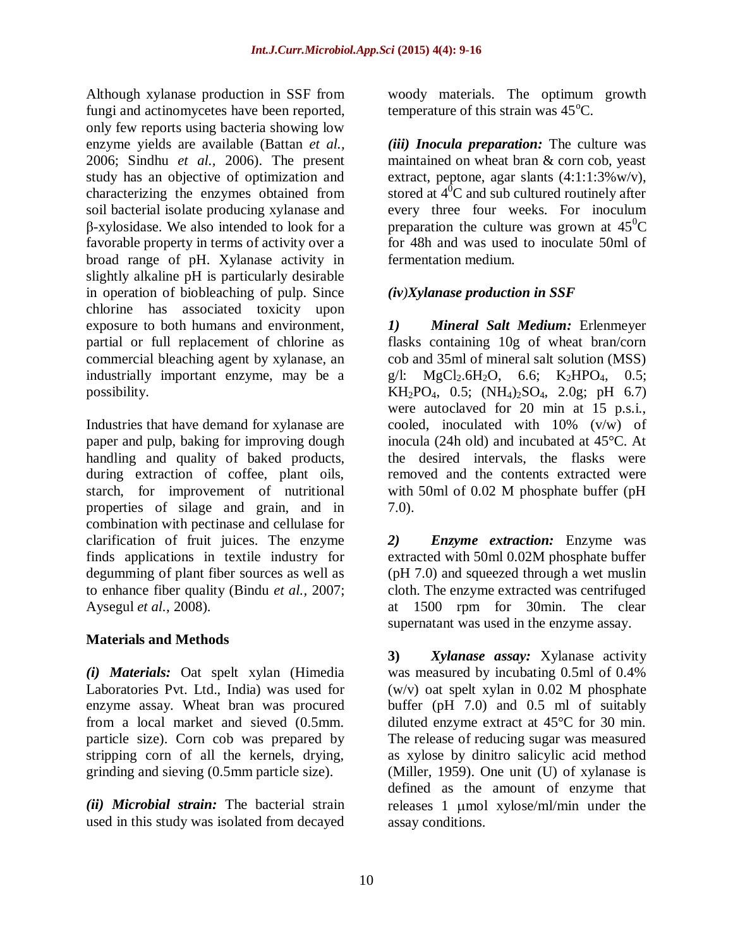Although xylanase production in SSF from fungi and actinomycetes have been reported, only few reports using bacteria showing low enzyme yields are available (Battan *et al.,* 2006; Sindhu *et al.,* 2006). The present study has an objective of optimization and characterizing the enzymes obtained from soil bacterial isolate producing xylanase and β-xylosidase. We also intended to look for a favorable property in terms of activity over a broad range of pH. Xylanase activity in slightly alkaline pH is particularly desirable in operation of biobleaching of pulp. Since chlorine has associated toxicity upon exposure to both humans and environment, partial or full replacement of chlorine as commercial bleaching agent by xylanase, an industrially important enzyme, may be a possibility.

Industries that have demand for xylanase are paper and pulp, baking for improving dough handling and quality of baked products, during extraction of coffee, plant oils, starch, for improvement of nutritional properties of silage and grain, and in combination with pectinase and cellulase for clarification of fruit juices. The enzyme finds applications in textile industry for degumming of plant fiber sources as well as to enhance fiber quality (Bindu *et al.,* 2007; Aysegul *et al.,* 2008).

## **Materials and Methods**

*(i) Materials:* Oat spelt xylan (Himedia Laboratories Pvt. Ltd., India) was used for enzyme assay. Wheat bran was procured from a local market and sieved (0.5mm. particle size). Corn cob was prepared by stripping corn of all the kernels, drying, grinding and sieving (0.5mm particle size).

*(ii) Microbial strain:* The bacterial strain used in this study was isolated from decayed

woody materials. The optimum growth temperature of this strain was  $45^{\circ}$ C.

*(iii) Inocula preparation:* The culture was maintained on wheat bran & corn cob, yeast extract, peptone, agar slants  $(4:1:1:3\%$  w/v), stored at  $4^0C$  and sub cultured routinely after every three four weeks. For inoculum preparation the culture was grown at  $45^{\circ}$ C for 48h and was used to inoculate 50ml of fermentation medium.

# *(iv)Xylanase production in SSF*

*1) Mineral Salt Medium:* Erlenmeyer flasks containing 10g of wheat bran/corn cob and 35ml of mineral salt solution (MSS) g/l:  $MgCl_2.6H_2O$ , 6.6;  $K_2HPO_4$ , 0.5;  $KH_2PO_4$ , 0.5;  $(NH_4)_2SO_4$ , 2.0g; pH 6.7) were autoclaved for 20 min at 15 p.s.i., cooled, inoculated with 10% (v/w) of inocula (24h old) and incubated at 45°C. At the desired intervals, the flasks were removed and the contents extracted were with 50ml of 0.02 M phosphate buffer (pH 7.0).

*2) Enzyme extraction:* Enzyme was extracted with 50ml 0.02M phosphate buffer (pH 7.0) and squeezed through a wet muslin cloth. The enzyme extracted was centrifuged at 1500 rpm for 30min. The clear supernatant was used in the enzyme assay.

**3)** *Xylanase assay:* Xylanase activity was measured by incubating 0.5ml of 0.4% (w/v) oat spelt xylan in 0.02 M phosphate buffer (pH 7.0) and 0.5 ml of suitably diluted enzyme extract at 45°C for 30 min. The release of reducing sugar was measured as xylose by dinitro salicylic acid method (Miller, 1959). One unit (U) of xylanase is defined as the amount of enzyme that releases 1 umol xylose/ml/min under the assay conditions.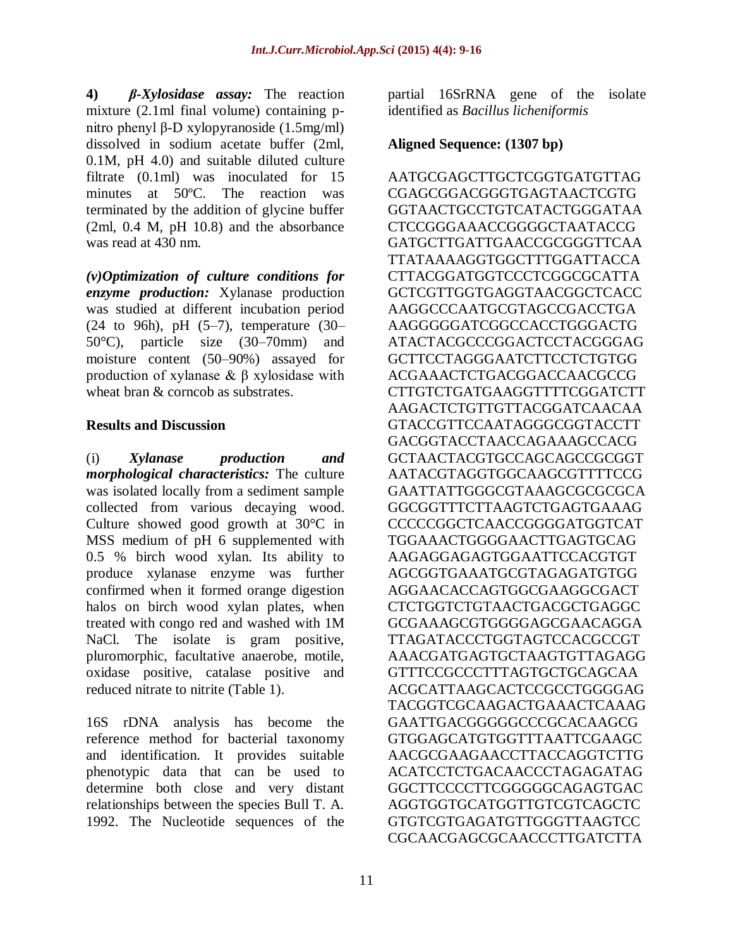**4)** *β-Xylosidase assay:* The reaction mixture (2.1ml final volume) containing pnitro phenyl β-D xylopyranoside (1.5mg/ml) dissolved in sodium acetate buffer (2ml, 0.1M, pH 4.0) and suitable diluted culture filtrate (0.1ml) was inoculated for 15 minutes at 50ºC. The reaction was terminated by the addition of glycine buffer (2ml, 0.4 M, pH 10.8) and the absorbance was read at 430 nm.

*(v)Optimization of culture conditions for enzyme production:* Xylanase production was studied at different incubation period (24 to 96h), pH  $(5-7)$ , temperature  $(30-$ 50°C), particle size (30–70mm) and moisture content (50–90%) assayed for production of xylanase & β xylosidase with wheat bran & corncob as substrates.

### **Results and Discussion**

(i) *Xylanase production and morphological characteristics:* The culture was isolated locally from a sediment sample collected from various decaying wood. Culture showed good growth at 30°C in MSS medium of pH 6 supplemented with 0.5 % birch wood xylan. Its ability to produce xylanase enzyme was further confirmed when it formed orange digestion halos on birch wood xylan plates, when treated with congo red and washed with 1M NaCl. The isolate is gram positive, pluromorphic, facultative anaerobe, motile, oxidase positive, catalase positive and reduced nitrate to nitrite (Table 1).

16S rDNA analysis has become the reference method for bacterial taxonomy and identification. It provides suitable phenotypic data that can be used to determine both close and very distant relationships between the species Bull T. A. 1992. The Nucleotide sequences of the

partial 16SrRNA gene of the isolate identified as *Bacillus licheniformis*

### **Aligned Sequence: (1307 bp)**

AATGCGAGCTTGCTCGGTGATGTTAG CGAGCGGACGGGTGAGTAACTCGTG GGTAACTGCCTGTCATACTGGGATAA CTCCGGGAAACCGGGGCTAATACCG GATGCTTGATTGAACCGCGGGTTCAA TTATAAAAGGTGGCTTTGGATTACCA CTTACGGATGGTCCCTCGGCGCATTA GCTCGTTGGTGAGGTAACGGCTCACC AAGGCCCAATGCGTAGCCGACCTGA AAGGGGGATCGGCCACCTGGGACTG ATACTACGCCCGGACTCCTACGGGAG GCTTCCTAGGGAATCTTCCTCTGTGG ACGAAACTCTGACGGACCAACGCCG CTTGTCTGATGAAGGTTTTCGGATCTT AAGACTCTGTTGTTACGGATCAACAA GTACCGTTCCAATAGGGCGGTACCTT GACGGTACCTAACCAGAAAGCCACG GCTAACTACGTGCCAGCAGCCGCGGT AATACGTAGGTGGCAAGCGTTTTCCG GAATTATTGGGCGTAAAGCGCGCGCA GGCGGTTTCTTAAGTCTGAGTGAAAG CCCCCGGCTCAACCGGGGATGGTCAT TGGAAACTGGGGAACTTGAGTGCAG AAGAGGAGAGTGGAATTCCACGTGT AGCGGTGAAATGCGTAGAGATGTGG AGGAACACCAGTGGCGAAGGCGACT CTCTGGTCTGTAACTGACGCTGAGGC GCGAAAGCGTGGGGAGCGAACAGGA TTAGATACCCTGGTAGTCCACGCCGT AAACGATGAGTGCTAAGTGTTAGAGG GTTTCCGCCCTTTAGTGCTGCAGCAA ACGCATTAAGCACTCCGCCTGGGGAG TACGGTCGCAAGACTGAAACTCAAAG GAATTGACGGGGGCCCGCACAAGCG GTGGAGCATGTGGTTTAATTCGAAGC AACGCGAAGAACCTTACCAGGTCTTG ACATCCTCTGACAACCCTAGAGATAG GGCTTCCCCTTCGGGGGCAGAGTGAC AGGTGGTGCATGGTTGTCGTCAGCTC GTGTCGTGAGATGTTGGGTTAAGTCC CGCAACGAGCGCAACCCTTGATCTTA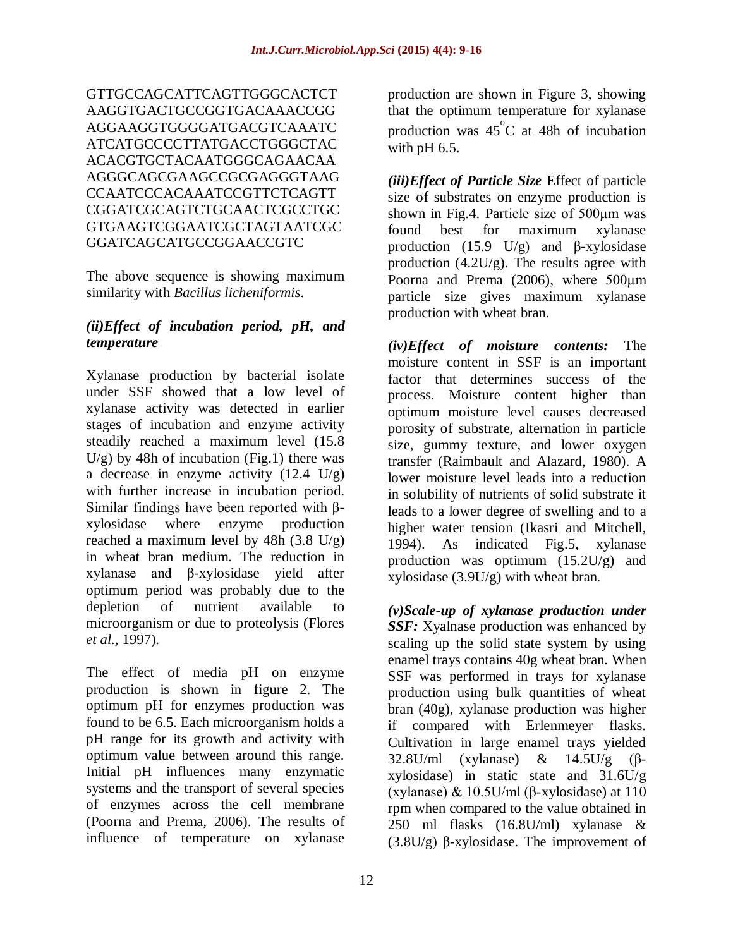GTTGCCAGCATTCAGTTGGGCACTCT AAGGTGACTGCCGGTGACAAACCGG AGGAAGGTGGGGATGACGTCAAATC ATCATGCCCCTTATGACCTGGGCTAC ACACGTGCTACAATGGGCAGAACAA AGGGCAGCGAAGCCGCGAGGGTAAG CCAATCCCACAAATCCGTTCTCAGTT CGGATCGCAGTCTGCAACTCGCCTGC GTGAAGTCGGAATCGCTAGTAATCGC GGATCAGCATGCCGGAACCGTC

The above sequence is showing maximum similarity with *Bacillus licheniformis*.

## *(ii)Effect of incubation period, pH, and temperature*

Xylanase production by bacterial isolate under SSF showed that a low level of xylanase activity was detected in earlier stages of incubation and enzyme activity steadily reached a maximum level (15.8  $U/g$ ) by 48h of incubation (Fig.1) there was a decrease in enzyme activity (12.4 U/g) with further increase in incubation period. Similar findings have been reported with βxylosidase where enzyme production reached a maximum level by 48h (3.8 U/g) in wheat bran medium. The reduction in xylanase and β-xylosidase yield after optimum period was probably due to the depletion of nutrient available to microorganism or due to proteolysis (Flores *et al.,* 1997).

The effect of media pH on enzyme production is shown in figure 2. The optimum pH for enzymes production was found to be 6.5. Each microorganism holds a pH range for its growth and activity with optimum value between around this range. Initial pH influences many enzymatic systems and the transport of several species of enzymes across the cell membrane (Poorna and Prema, 2006). The results of influence of temperature on xylanase

production are shown in Figure 3, showing that the optimum temperature for xylanase production was  $45^{\circ}$ C at 48h of incubation with pH 6.5.

*(iii)Effect of Particle Size* Effect of particle size of substrates on enzyme production is shown in Fig.4. Particle size of 500μm was found best for maximum xylanase production (15.9 U/g) and  $\beta$ -xylosidase production (4.2U/g). The results agree with Poorna and Prema (2006), where 500μm particle size gives maximum xylanase production with wheat bran.

*(iv)Effect of moisture contents:* The moisture content in SSF is an important factor that determines success of the process. Moisture content higher than optimum moisture level causes decreased porosity of substrate, alternation in particle size, gummy texture, and lower oxygen transfer (Raimbault and Alazard, 1980). A lower moisture level leads into a reduction in solubility of nutrients of solid substrate it leads to a lower degree of swelling and to a higher water tension (Ikasri and Mitchell, 1994). As indicated Fig.5, xylanase production was optimum (15.2U/g) and xylosidase (3.9U/g) with wheat bran.

*(v)Scale-up of xylanase production under SSF:* Xyalnase production was enhanced by scaling up the solid state system by using enamel trays contains 40g wheat bran. When SSF was performed in trays for xylanase production using bulk quantities of wheat bran (40g), xylanase production was higher if compared with Erlenmeyer flasks. Cultivation in large enamel trays yielded 32.8U/ml (xylanase) & 14.5U/g (βxylosidase) in static state and 31.6U/g (xylanase) & 10.5U/ml (β-xylosidase) at 110 rpm when compared to the value obtained in 250 ml flasks (16.8U/ml) xylanase & (3.8U/g) β-xylosidase. The improvement of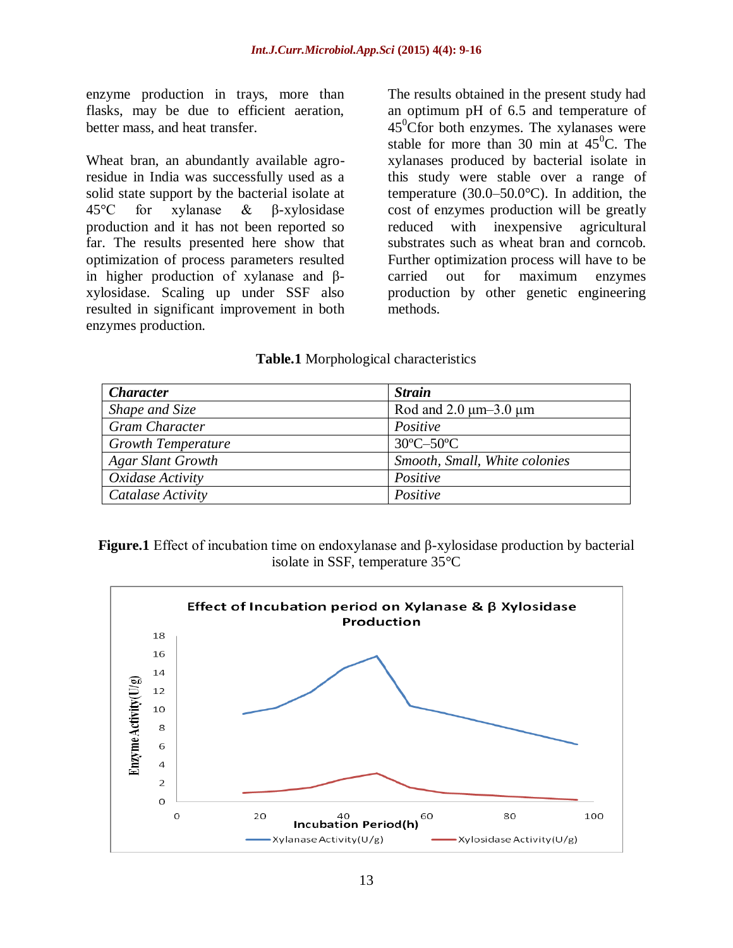enzyme production in trays, more than flasks, may be due to efficient aeration, better mass, and heat transfer.

Wheat bran, an abundantly available agroresidue in India was successfully used as a solid state support by the bacterial isolate at 45°C for xylanase & β-xylosidase production and it has not been reported so far. The results presented here show that optimization of process parameters resulted in higher production of xylanase and βxylosidase. Scaling up under SSF also resulted in significant improvement in both enzymes production.

The results obtained in the present study had an optimum pH of 6.5 and temperature of  $45^{\circ}$ Cfor both enzymes. The xylanases were stable for more than 30 min at  $45^{\circ}$ C. The xylanases produced by bacterial isolate in this study were stable over a range of temperature  $(30.0-50.0^{\circ}C)$ . In addition, the cost of enzymes production will be greatly reduced with inexpensive agricultural substrates such as wheat bran and corncob. Further optimization process will have to be carried out for maximum enzymes production by other genetic engineering methods.

### **Table.1** Morphological characteristics

| <b>Character</b>          | <b>Strain</b>                  |
|---------------------------|--------------------------------|
| Shape and Size            | Rod and $2.0 \mu m-3.0 \mu m$  |
| <b>Gram Character</b>     | Positive                       |
| <b>Growth Temperature</b> | $30^{\circ}$ C $-50^{\circ}$ C |
| <b>Agar Slant Growth</b>  | Smooth, Small, White colonies  |
| Oxidase Activity          | Positive                       |
| Catalase Activity         | Positive                       |

**Figure.1** Effect of incubation time on endoxylanase and β-xylosidase production by bacterial isolate in SSF, temperature 35°C

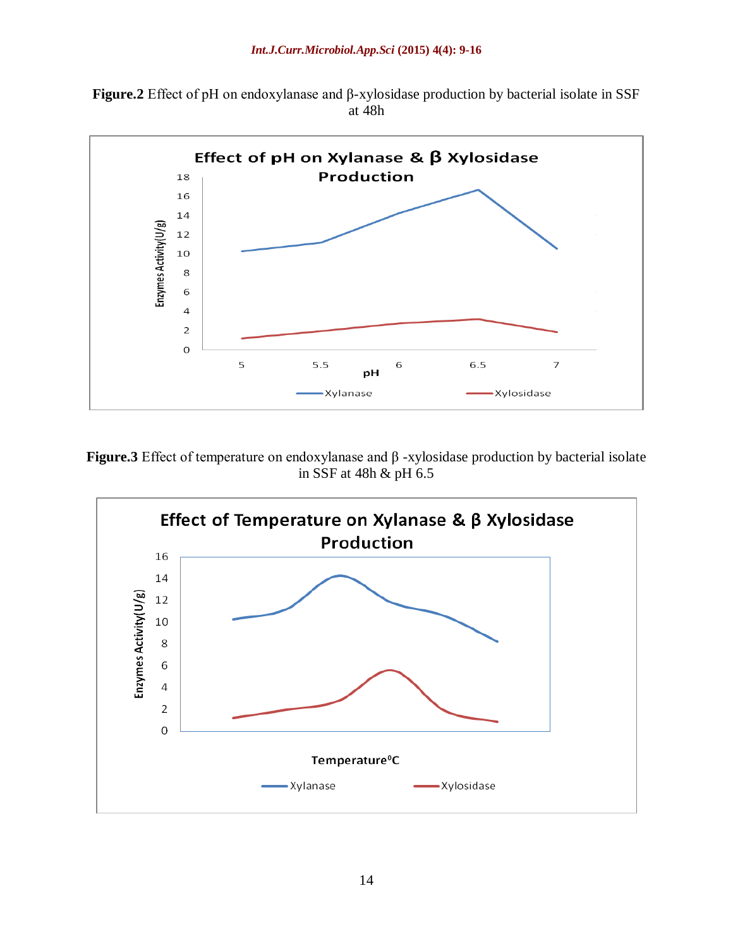**Figure.2** Effect of pH on endoxylanase and β-xylosidase production by bacterial isolate in SSF at 48h



**Figure.3** Effect of temperature on endoxylanase and β -xylosidase production by bacterial isolate in SSF at 48h & pH 6.5

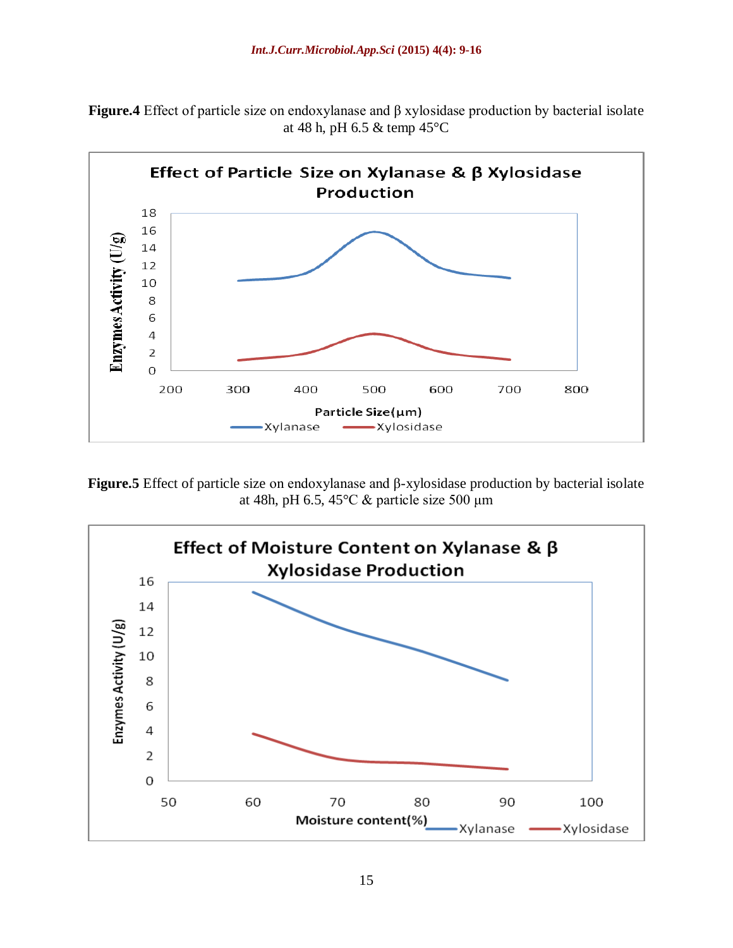**Figure.4** Effect of particle size on endoxylanase and β xylosidase production by bacterial isolate at 48 h, pH 6.5 & temp 45°C



**Figure.5** Effect of particle size on endoxylanase and β-xylosidase production by bacterial isolate at 48h, pH 6.5, 45 $°C$  & particle size 500 μm